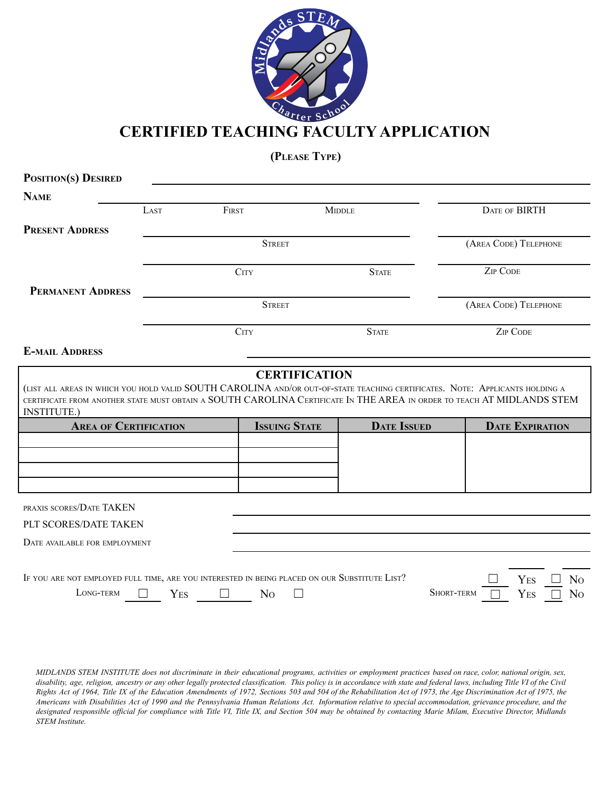

**(PLEASE TYPE)**

| POSITION(S) DESIRED                                                                                                                          |      |                  |                      |                    |                   |                        |
|----------------------------------------------------------------------------------------------------------------------------------------------|------|------------------|----------------------|--------------------|-------------------|------------------------|
| <b>NAME</b>                                                                                                                                  |      |                  |                      |                    |                   |                        |
|                                                                                                                                              | LAST | FIRST            |                      | <b>MIDDLE</b>      |                   | DATE OF BIRTH          |
| <b>PRESENT ADDRESS</b>                                                                                                                       |      |                  |                      |                    |                   |                        |
|                                                                                                                                              |      | <b>STREET</b>    |                      |                    |                   | (AREA CODE) TELEPHONE  |
|                                                                                                                                              |      | C <sub>ITY</sub> |                      | <b>STATE</b>       |                   | <b>ZIP CODE</b>        |
| <b>PERMANENT ADDRESS</b>                                                                                                                     |      |                  |                      |                    |                   |                        |
|                                                                                                                                              |      | <b>STREET</b>    |                      |                    |                   | (AREA CODE) TELEPHONE  |
|                                                                                                                                              |      | C <sub>ITY</sub> |                      | <b>STATE</b>       |                   | <b>ZIP CODE</b>        |
| <b>E-MAIL ADDRESS</b>                                                                                                                        |      |                  |                      |                    |                   |                        |
| CERTIFICATE FROM ANOTHER STATE MUST OBTAIN A SOUTH CAROLINA CERTIFICATE IN THE AREA IN ORDER TO TEACH AT MIDLANDS STEM<br><b>INSTITUTE.)</b> |      |                  |                      |                    |                   |                        |
| <b>AREA OF CERTIFICATION</b>                                                                                                                 |      |                  | <b>ISSUING STATE</b> | <b>DATE ISSUED</b> |                   | <b>DATE EXPIRATION</b> |
|                                                                                                                                              |      |                  |                      |                    |                   |                        |
|                                                                                                                                              |      |                  |                      |                    |                   |                        |
|                                                                                                                                              |      |                  |                      |                    |                   |                        |
| PRAXIS SCORES/DATE TAKEN                                                                                                                     |      |                  |                      |                    |                   |                        |
| PLT SCORES/DATE TAKEN                                                                                                                        |      |                  |                      |                    |                   |                        |
| DATE AVAILABLE FOR EMPLOYMENT                                                                                                                |      |                  |                      |                    |                   |                        |
|                                                                                                                                              |      |                  |                      |                    |                   |                        |
| IF YOU ARE NOT EMPLOYED FULL TIME, ARE YOU INTERESTED IN BEING PLACED ON OUR SUBSTITUTE LIST?                                                |      |                  |                      |                    |                   | YES<br>N <sub>O</sub>  |
| LONG-TERM                                                                                                                                    | YES  | N <sub>O</sub>   |                      |                    | <b>SHORT-TERM</b> | YES<br>N <sub>O</sub>  |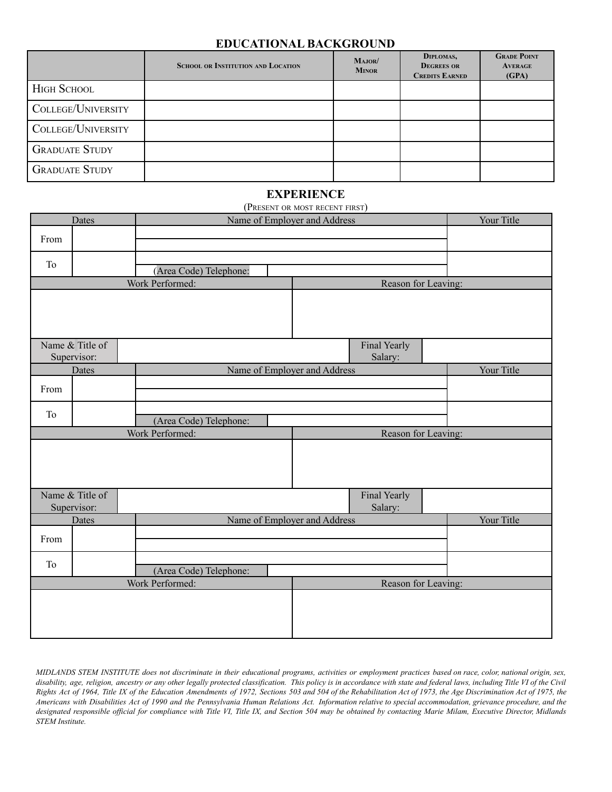### **EDUCATIONAL BACKGROUND**

|                       | <b>SCHOOL OR INSTITUTION AND LOCATION</b> | MAJOR/<br><b>MINOR</b> | DIPLOMAS,<br><b>DEGREES OR</b><br><b>CREDITS EARNED</b> | <b>GRADE POINT</b><br><b>AVERAGE</b><br>(GPA) |
|-----------------------|-------------------------------------------|------------------------|---------------------------------------------------------|-----------------------------------------------|
| <b>HIGH SCHOOL</b>    |                                           |                        |                                                         |                                               |
| COLLEGE/UNIVERSITY    |                                           |                        |                                                         |                                               |
| COLLEGE/UNIVERSITY    |                                           |                        |                                                         |                                               |
| <b>GRADUATE STUDY</b> |                                           |                        |                                                         |                                               |
| <b>GRADUATE STUDY</b> |                                           |                        |                                                         |                                               |

### **EXPERIENCE**

|                 | Name of Employer and Address<br>Dates  |                              | Your Title |                         |                     |
|-----------------|----------------------------------------|------------------------------|------------|-------------------------|---------------------|
| From            |                                        |                              |            |                         |                     |
| To              |                                        | (Area Code) Telephone:       |            |                         |                     |
|                 |                                        | Work Performed:              |            |                         | Reason for Leaving: |
|                 |                                        |                              |            |                         |                     |
|                 | Name & Title of<br>Supervisor:         |                              |            | Final Yearly<br>Salary: |                     |
|                 | Dates                                  | Name of Employer and Address |            |                         | Your Title          |
| From            |                                        |                              |            |                         |                     |
| To              |                                        | (Area Code) Telephone:       |            |                         |                     |
|                 | Work Performed:<br>Reason for Leaving: |                              |            |                         |                     |
|                 |                                        |                              |            |                         |                     |
|                 | Name & Title of<br>Supervisor:         |                              |            | Final Yearly<br>Salary: |                     |
|                 | Dates                                  | Name of Employer and Address |            |                         | Your Title          |
| From            |                                        |                              |            |                         |                     |
| To              |                                        | (Area Code) Telephone:       |            |                         |                     |
| Work Performed: |                                        |                              |            |                         | Reason for Leaving: |
|                 |                                        |                              |            |                         |                     |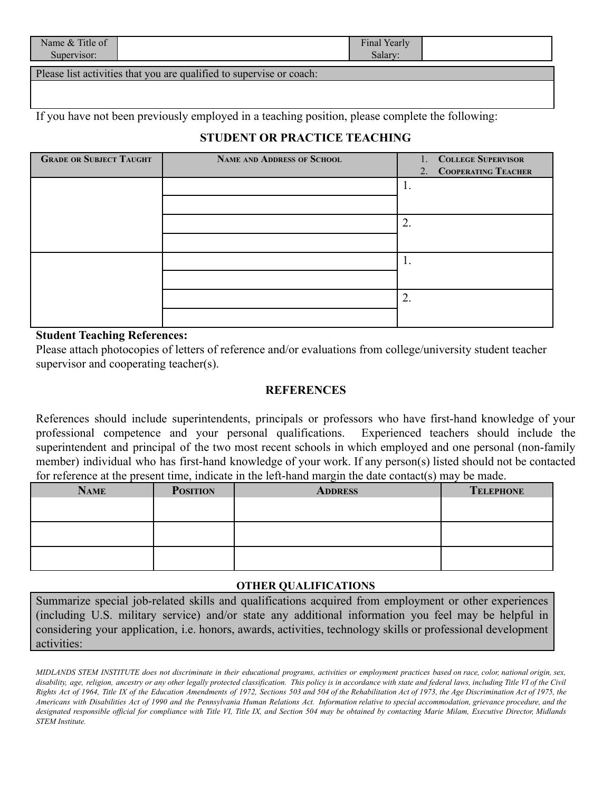| Name & Title of<br>Supervisor: |                                                                      | Final Yearly<br>Salarv |  |
|--------------------------------|----------------------------------------------------------------------|------------------------|--|
|                                | Please list activities that you are qualified to supervise or coach: |                        |  |

If you have not been previously employed in a teaching position, please complete the following:

# **STUDENT OR PRACTICE TEACHING**

| <b>GRADE OR SUBJECT TAUGHT</b> | <b>NAME AND ADDRESS OF SCHOOL</b> | 1. COLLEGE SUPERVISOR  |
|--------------------------------|-----------------------------------|------------------------|
|                                |                                   | 2. COOPERATING TEACHER |
|                                |                                   |                        |
|                                |                                   |                        |
|                                |                                   | $\overline{2}$         |
|                                |                                   |                        |
|                                |                                   |                        |
|                                |                                   |                        |
|                                |                                   | ∍<br>∠                 |
|                                |                                   |                        |

### **Student Teaching References:**

Please attach photocopies of letters of reference and/or evaluations from college/university student teacher supervisor and cooperating teacher(s).

#### **REFERENCES**

References should include superintendents, principals or professors who have first-hand knowledge of your professional competence and your personal qualifications. Experienced teachers should include the superintendent and principal of the two most recent schools in which employed and one personal (non-family member) individual who has first-hand knowledge of your work. If any person(s) listed should not be contacted for reference at the present time, indicate in the left-hand margin the date contact(s) may be made.

| <b>NAME</b> | <b>POSITION</b> | <b>ADDRESS</b> | <b>TELEPHONE</b> |
|-------------|-----------------|----------------|------------------|
|             |                 |                |                  |
|             |                 |                |                  |
|             |                 |                |                  |
|             |                 |                |                  |
|             |                 |                |                  |
|             |                 |                |                  |

# **OTHER QUALIFICATIONS**

Summarize special job-related skills and qualifications acquired from employment or other experiences (including U.S. military service) and/or state any additional information you feel may be helpful in considering your application, i.e. honors, awards, activities, technology skills or professional development activities: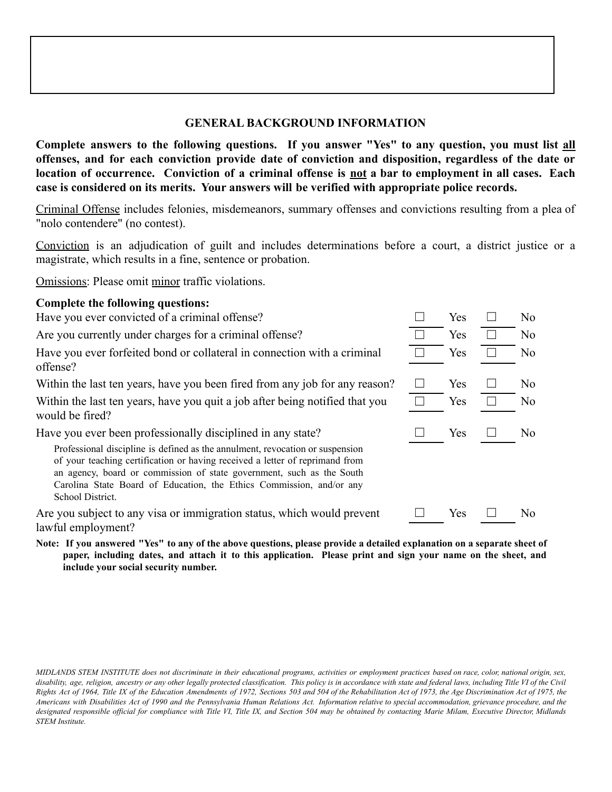# **GENERAL BACKGROUND INFORMATION**

**Complete answers to the following questions. If you answer "Yes" to any question, you must list all offenses, and for each conviction provide date of conviction and disposition, regardless of the date or** location of occurrence. Conviction of a criminal offense is not a bar to employment in all cases. Each **case is considered on its merits. Your answers will be verified with appropriate police records.**

Criminal Offense includes felonies, misdemeanors, summary offenses and convictions resulting from a plea of "nolo contendere" (no contest).

Conviction is an adjudication of guilt and includes determinations before a court, a district justice or a magistrate, which results in a fine, sentence or probation.

Omissions: Please omit minor traffic violations.

# **Complete the following questions:**

Have you ever convicted of a criminal offense?

Are you currently under charges for a criminal offense?

Have you ever forfeited bond or collateral in connection with a criminal offense?

Within the last ten years, have you been fired from any job for any reason?

Within the last ten years, have you quit a job after being notified that you would be fired?

Have you ever been professionally disciplined in any state?

Professional discipline is defined as the annulment, revocation or suspension of your teaching certification or having received a letter of reprimand from an agency, board or commission of state government, such as the South Carolina State Board of Education, the Ethics Commission, and/or any School District.

Are you subject to any visa or immigration status, which would prevent lawful employment?

Note: If you answered "Yes" to any of the above questions, please provide a detailed explanation on a separate sheet of paper, including dates, and attach it to this application. Please print and sign your name on the sheet, and **include your social security number.**

| Yes<br>Yes<br>Yes | No<br>No<br>No |
|-------------------|----------------|
| Yes<br>Yes        | No<br>No       |
| Yes               | No             |
|                   |                |
| Yes               | No             |

MIDLANDS STEM INSTITUTE does not discriminate in their educational programs, activities or employment practices based on race, color, national origin, sex, disability, age, religion, ancestry or any other legally protected classification. This policy is in accordance with state and federal laws, including Title VI of the Civil Rights Act of 1964, Title IX of the Education Amendments of 1972, Sections 503 and 504 of the Rehabilitation Act of 1973, the Age Discrimination Act of 1975, the Americans with Disabilities Act of 1990 and the Pennsylvania Human Relations Act. Information relative to special accommodation, grievance procedure, and the designated responsible official for compliance with Title VI, Title IX, and Section 504 may be obtained by contacting Marie Milam, Executive Director, Midlands *STEM Institute.*